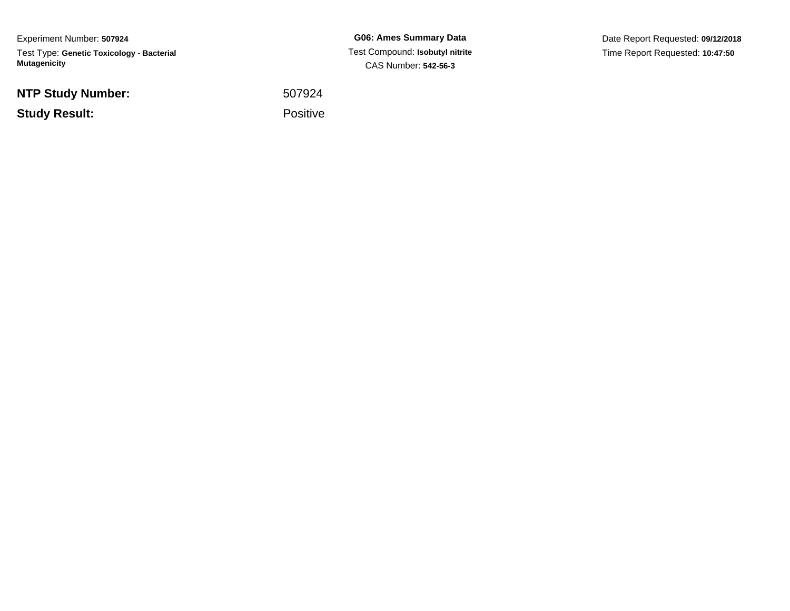Experiment Number: **507924**Test Type: **Genetic Toxicology - Bacterial Mutagenicity**

**NTP Study Number:**

**Study Result:**

**G06: Ames Summary Data** Test Compound: **Isobutyl nitrite**CAS Number: **542-56-3**

Date Report Requested: **09/12/2018**Time Report Requested: **10:47:50**

 <sup>507924</sup>Positive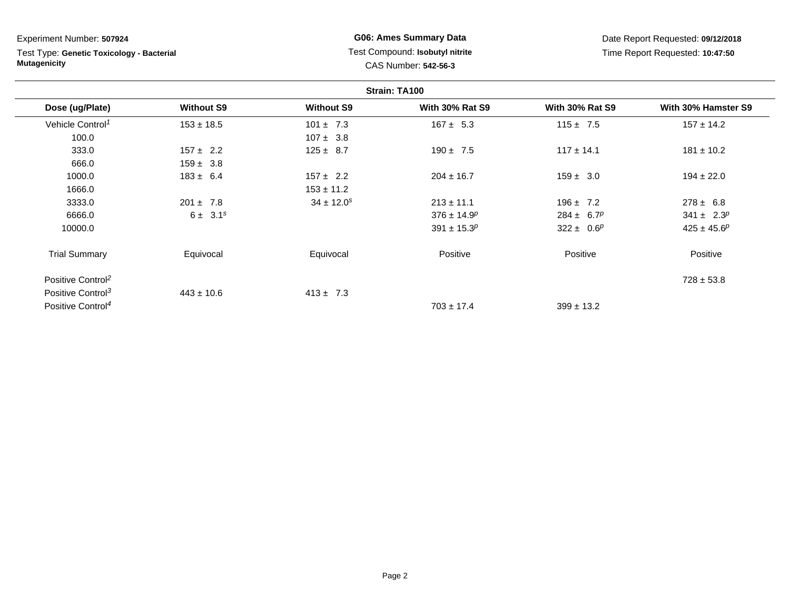**Strain: TA100Dose (ug/Plate) Without S9 Without S9 With 30% Rat S9 With 30% Rat S9 With 30% Hamster S9** Vehicle Control<sup>1</sup>  $153 \pm 18.5$ 5 101 ± 7.3 167 ± 5.3 115 ± 7.5 157 ± 14.2 100.0 $107 \pm 3.8$ <br> $157 \pm 2.2$ <br> $125 \pm 8.7$ 333.00 157 ± 2.2 125 ± 8.7 190 ± 7.5 117 ± 14.1 181 ± 10.2 666.0 $159 \pm 3.8$ <br> $183 \pm 6.4$ 1000.00 183 ± 6.4 157 ± 2.2 204 ± 16.7 159 ± 3.0 194 ± 22.0 1666.00  $153 \pm 11.2$ 3333.00  $201 \pm 7.8$   $34 \pm 12.0^s$   $213 \pm 11.1$   $196 \pm 7.2$   $278 \pm 6.8$ 6666.00  $6 \pm 3.1^s$   $6 \pm 3.1^s$   $376 \pm 14.9^p$   $284 \pm 6.7^p$   $341 \pm 2.3^p$ 10000.0 $391 \pm 15.3^p$   $322 \pm 0.6^p$   $425 \pm 45.6^p$ Trial Summary Equivocal Equivocal Positivee Positive Positive Positive Positive Control<sup>2</sup> $\frac{2}{3}$  and  $\frac{1}{3}$  and  $\frac{1}{3}$  and  $\frac{1}{3}$  and  $\frac{1}{3}$  and  $\frac{1}{3}$  and  $\frac{1}{3}$  and  $\frac{1}{3}$  and  $\frac{1}{3}$  and  $\frac{1}{3}$  and  $\frac{1}{3}$  and  $\frac{1}{3}$  and  $\frac{1}{3}$  and  $\frac{1}{3}$  and  $\frac{1}{3}$  and  $\frac{1}{3}$  a Experiment Number: **507924**Test Type: **Genetic Toxicology - BacterialMutagenicityG06: Ames Summary Data** Test Compound: **Isobutyl nitrite**CAS Number: **542-56-3**Date Report Requested: **09/12/2018**Time Report Requested: **10:47:50**

 $703 \pm 17.4$ 

 $399 \pm 13.2$ 

 $413 \pm 7.3$ 

Positive Control<sup>3</sup>

Positive Control<sup>4</sup>

 $443 \pm 10.6$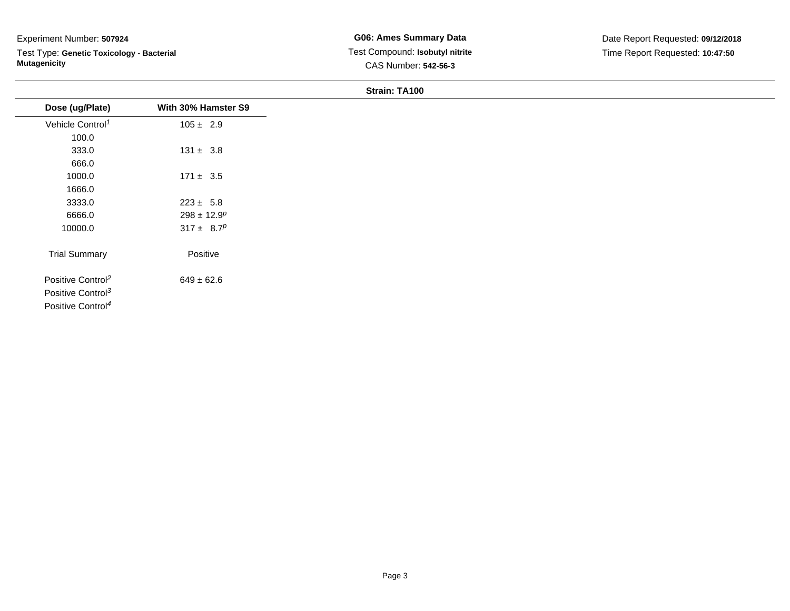# Experiment Number: **507924**

Test Type: **Genetic Toxicology - Bacterial Mutagenicity**

### **Strain: TA100**

| Dose (ug/Plate)               | With 30% Hamster S9         |
|-------------------------------|-----------------------------|
| Vehicle Control <sup>1</sup>  | $105 \pm 2.9$               |
| 100.0                         |                             |
| 333.0                         | $131 \pm 3.8$               |
| 666.0                         |                             |
| 1000.0                        | $171 \pm 3.5$               |
| 1666.0                        |                             |
| 3333.0                        | $223 \pm 5.8$               |
| 6666.0                        | $298 \pm 12.9$ <sup>p</sup> |
| 10000.0                       | $317 \pm 8.7^p$             |
| <b>Trial Summary</b>          | Positive                    |
| Positive Control <sup>2</sup> | $649 \pm 62.6$              |
| Positive Control <sup>3</sup> |                             |
| Positive Control <sup>4</sup> |                             |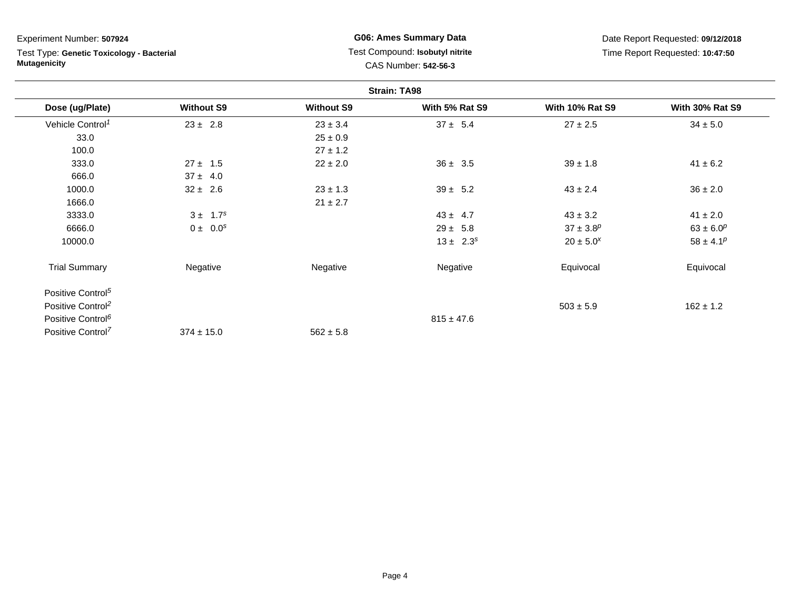Experiment Number: **507924**

Test Type: **Genetic Toxicology - Bacterial Mutagenicity**

**G06: Ames Summary Data** Test Compound: **Isobutyl nitrite**CAS Number: **542-56-3**

Date Report Requested: **09/12/2018**Time Report Requested: **10:47:50**

| <b>Strain: TA98</b>           |                   |                   |                |                        |                        |  |  |
|-------------------------------|-------------------|-------------------|----------------|------------------------|------------------------|--|--|
| Dose (ug/Plate)               | <b>Without S9</b> | <b>Without S9</b> | With 5% Rat S9 | <b>With 10% Rat S9</b> | <b>With 30% Rat S9</b> |  |  |
| Vehicle Control <sup>1</sup>  | $23 \pm 2.8$      | $23 \pm 3.4$      | $37 \pm 5.4$   | $27 \pm 2.5$           | $34 \pm 5.0$           |  |  |
| 33.0                          |                   | $25 \pm 0.9$      |                |                        |                        |  |  |
| 100.0                         |                   | $27 \pm 1.2$      |                |                        |                        |  |  |
| 333.0                         | $27 \pm 1.5$      | $22 \pm 2.0$      | $36 \pm 3.5$   | $39 \pm 1.8$           | $41 \pm 6.2$           |  |  |
| 666.0                         | $37 \pm 4.0$      |                   |                |                        |                        |  |  |
| 1000.0                        | $32 \pm 2.6$      | $23 \pm 1.3$      | $39 \pm 5.2$   | $43 \pm 2.4$           | $36 \pm 2.0$           |  |  |
| 1666.0                        |                   | $21 \pm 2.7$      |                |                        |                        |  |  |
| 3333.0                        | $3 \pm 1.7^s$     |                   | $43 \pm 4.7$   | $43 \pm 3.2$           | $41 \pm 2.0$           |  |  |
| 6666.0                        | $0 \pm 0.0^s$     |                   | $29 \pm 5.8$   | $37 \pm 3.8^p$         | $63 \pm 6.0^p$         |  |  |
| 10000.0                       |                   |                   | $13 \pm 2.3^s$ | $20 \pm 5.0^{x}$       | $58 \pm 4.1^p$         |  |  |
| <b>Trial Summary</b>          | Negative          | Negative          | Negative       | Equivocal              | Equivocal              |  |  |
| Positive Control <sup>5</sup> |                   |                   |                |                        |                        |  |  |
| Positive Control <sup>2</sup> |                   |                   |                | $503 \pm 5.9$          | $162 \pm 1.2$          |  |  |
| Positive Control <sup>6</sup> |                   |                   | $815 \pm 47.6$ |                        |                        |  |  |
| Positive Control <sup>7</sup> | $374 \pm 15.0$    | $562 \pm 5.8$     |                |                        |                        |  |  |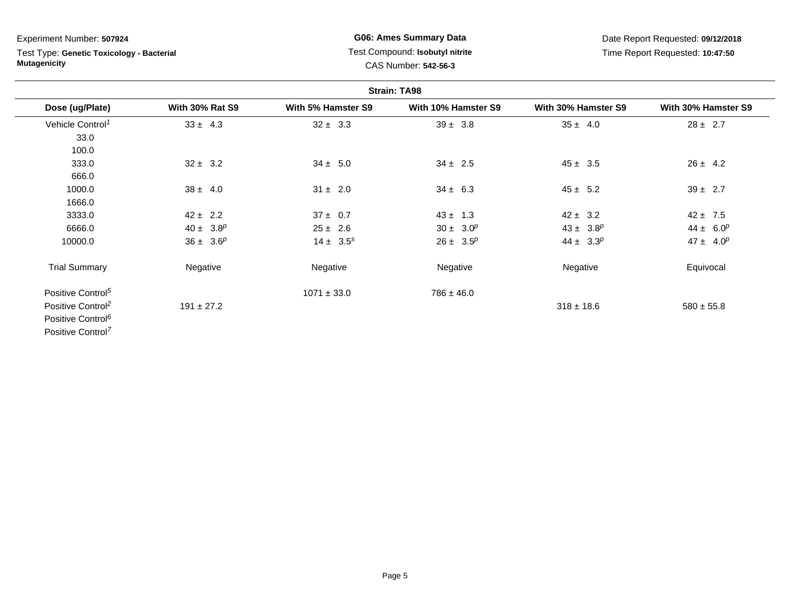## Experiment Number: **507924**

Test Type: **Genetic Toxicology - Bacterial Mutagenicity**

## **G06: Ames Summary Data** Test Compound: **Isobutyl nitrite**CAS Number: **542-56-3**

Date Report Requested: **09/12/2018**Time Report Requested: **10:47:50**

| <b>Strain: TA98</b>           |                        |                    |                     |                     |                     |  |  |  |
|-------------------------------|------------------------|--------------------|---------------------|---------------------|---------------------|--|--|--|
| Dose (ug/Plate)               | <b>With 30% Rat S9</b> | With 5% Hamster S9 | With 10% Hamster S9 | With 30% Hamster S9 | With 30% Hamster S9 |  |  |  |
| Vehicle Control <sup>1</sup>  | $33 \pm 4.3$           | $32 \pm 3.3$       | $39 \pm 3.8$        | $35 \pm 4.0$        | $28 \pm 2.7$        |  |  |  |
| 33.0                          |                        |                    |                     |                     |                     |  |  |  |
| 100.0                         |                        |                    |                     |                     |                     |  |  |  |
| 333.0                         | $32 \pm 3.2$           | $34 \pm 5.0$       | $34 \pm 2.5$        | $45 \pm 3.5$        | $26 \pm 4.2$        |  |  |  |
| 666.0                         |                        |                    |                     |                     |                     |  |  |  |
| 1000.0                        | $38 \pm 4.0$           | $31 \pm 2.0$       | $34 \pm 6.3$        | $45 \pm 5.2$        | $39 \pm 2.7$        |  |  |  |
| 1666.0                        |                        |                    |                     |                     |                     |  |  |  |
| 3333.0                        | $42 \pm 2.2$           | $37 \pm 0.7$       | $43 \pm 1.3$        | $42 \pm 3.2$        | $42 \pm 7.5$        |  |  |  |
| 6666.0                        | $40 \pm 3.8^p$         | $25 \pm 2.6$       | $30 \pm 3.0^p$      | $43 \pm 3.8^p$      | $44 \pm 6.0^p$      |  |  |  |
| 10000.0                       | $36 \pm 3.6^p$         | $14 \pm 3.5^s$     | $26 \pm 3.5^p$      | $44 \pm 3.3^p$      | $47 \pm 4.0^p$      |  |  |  |
| <b>Trial Summary</b>          | Negative               | Negative           | Negative            | Negative            | Equivocal           |  |  |  |
| Positive Control <sup>5</sup> |                        | $1071 \pm 33.0$    | $786 \pm 46.0$      |                     |                     |  |  |  |
| Positive Control <sup>2</sup> | $191 \pm 27.2$         |                    |                     | $318 \pm 18.6$      | $580 \pm 55.8$      |  |  |  |
| Positive Control <sup>6</sup> |                        |                    |                     |                     |                     |  |  |  |
| Positive Control <sup>7</sup> |                        |                    |                     |                     |                     |  |  |  |